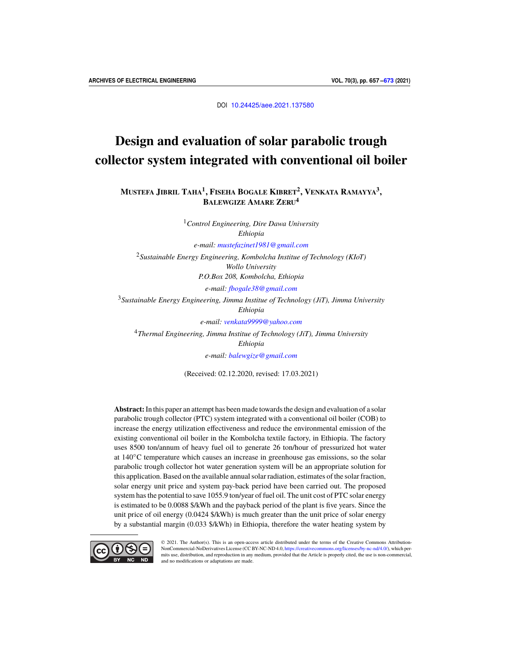DOI [10.24425/aee.2021.137580](https://doi.org/10.24425/aee.2021.137580)

# Design and evaluation of solar parabolic trough collector system integrated with conventional oil boiler

**MUSTEFA JIBRIL TAHA<sup>1</sup> , FISEHA BOGALE KIBRET<sup>2</sup> , VENKATA RAMAYYA<sup>3</sup> , BALEWGIZE AMARE ZERU<sup>4</sup>**

> <sup>1</sup>*Control Engineering, Dire Dawa University Ethiopia*

*e-mail: [mustefazinet1981@gmail.com](mailto:mustefazinet1981@gmail.com)*

<sup>2</sup>*Sustainable Energy Engineering, Kombolcha Institue of Technology (KIoT) Wollo University*

*P.O.Box 208, Kombolcha, Ethiopia*

*e-mail: [fbogale38@gmail.com](mailto:fbogale38@gmail.com)*

<sup>3</sup>*Sustainable Energy Engineering, Jimma Institue of Technology (JiT), Jimma University*

*Ethiopia*

*e-mail: [venkata9999@yahoo.com](mailto:venkata9999@yahoo.com)*

<sup>4</sup>*Thermal Engineering, Jimma Institue of Technology (JiT), Jimma University Ethiopia*

*e-mail: [balewgize@gmail.com](mailto:balewgize@gmail.com)*

(Received: 02.12.2020, revised: 17.03.2021)

**Abstract:**In this paper an attempt has been made towards the design and evaluation of a solar parabolic trough collector (PTC) system integrated with a conventional oil boiler (COB) to increase the energy utilization effectiveness and reduce the environmental emission of the existing conventional oil boiler in the Kombolcha textile factory, in Ethiopia. The factory uses 8500 ton/annum of heavy fuel oil to generate 26 ton/hour of pressurized hot water at 140◦C temperature which causes an increase in greenhouse gas emissions, so the solar parabolic trough collector hot water generation system will be an appropriate solution for this application. Based on the available annual solar radiation, estimates of the solar fraction, solar energy unit price and system pay-back period have been carried out. The proposed system has the potential to save 1055.9 ton/year of fuel oil. The unit cost of PTC solar energy is estimated to be 0.0088 \$/kWh and the payback period of the plant is five years. Since the unit price of oil energy (0.0424 \$/kWh) is much greater than the unit price of solar energy by a substantial margin (0.033 \$/kWh) in Ethiopia, therefore the water heating system by



© 2021. The Author(s). This is an open-access article distributed under the terms of the Creative Commons Attribution-NonCommercial-NoDerivatives License (CC BY-NC-ND 4.0, [https://creativecommons.org/licenses/by-nc-nd/4.0/\)](https://creativecommons.org/licenses/by-nc-nd/4.0/), which permits use, distribution, and reproduction in any medium, provided that the Article is properly cited, the use is non-commercial, and no modifications or adaptations are made.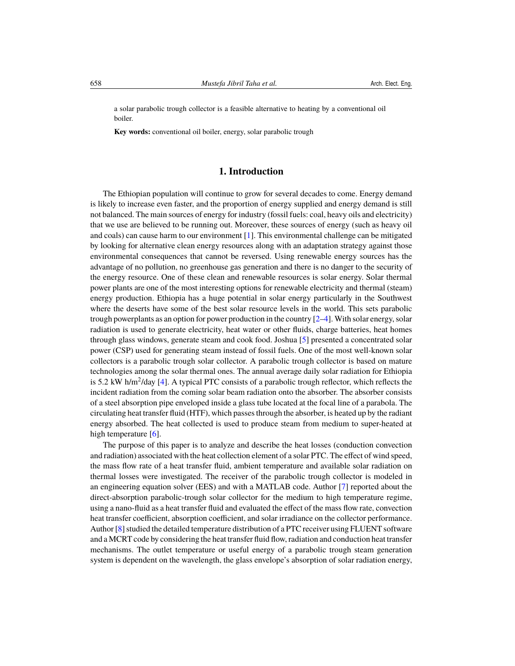a solar parabolic trough collector is a feasible alternative to heating by a conventional oil boiler.

**Key words:** conventional oil boiler, energy, solar parabolic trough

# **1. Introduction**

The Ethiopian population will continue to grow for several decades to come. Energy demand is likely to increase even faster, and the proportion of energy supplied and energy demand is still not balanced. The main sources of energy for industry (fossil fuels: coal, heavy oils and electricity) that we use are believed to be running out. Moreover, these sources of energy (such as heavy oil and coals) can cause harm to our environment  $[1]$ . This environmental challenge can be mitigated by looking for alternative clean energy resources along with an adaptation strategy against those environmental consequences that cannot be reversed. Using renewable energy sources has the advantage of no pollution, no greenhouse gas generation and there is no danger to the security of the energy resource. One of these clean and renewable resources is solar energy. Solar thermal power plants are one of the most interesting options for renewable electricity and thermal (steam) energy production. Ethiopia has a huge potential in solar energy particularly in the Southwest where the deserts have some of the best solar resource levels in the world. This sets parabolic trough powerplants as an option for power production in the country [\[2](#page-15-2)[–4\]](#page-15-3). With solar energy, solar radiation is used to generate electricity, heat water or other fluids, charge batteries, heat homes through glass windows, generate steam and cook food. Joshua [\[5\]](#page-15-4) presented a concentrated solar power (CSP) used for generating steam instead of fossil fuels. One of the most well-known solar collectors is a parabolic trough solar collector. A parabolic trough collector is based on mature technologies among the solar thermal ones. The annual average daily solar radiation for Ethiopia is 5.2 kW h/m<sup>2</sup>/day [\[4\]](#page-15-3). A typical PTC consists of a parabolic trough reflector, which reflects the incident radiation from the coming solar beam radiation onto the absorber. The absorber consists of a steel absorption pipe enveloped inside a glass tube located at the focal line of a parabola. The circulating heat transfer fluid (HTF), which passes through the absorber, is heated up by the radiant energy absorbed. The heat collected is used to produce steam from medium to super-heated at high temperature [\[6\]](#page-15-5).

The purpose of this paper is to analyze and describe the heat losses (conduction convection and radiation) associated with the heat collection element of a solar PTC. The effect of wind speed, the mass flow rate of a heat transfer fluid, ambient temperature and available solar radiation on thermal losses were investigated. The receiver of the parabolic trough collector is modeled in an engineering equation solver (EES) and with a MATLAB code. Author [\[7\]](#page-15-6) reported about the direct-absorption parabolic-trough solar collector for the medium to high temperature regime, using a nano-fluid as a heat transfer fluid and evaluated the effect of the mass flow rate, convection heat transfer coefficient, absorption coefficient, and solar irradiance on the collector performance. Author [\[8\]](#page-15-7) studied the detailed temperature distribution of a PTC receiver using FLUENT software and a MCRT code by considering the heat transfer fluid flow, radiation and conduction heat transfer mechanisms. The outlet temperature or useful energy of a parabolic trough steam generation system is dependent on the wavelength, the glass envelope's absorption of solar radiation energy,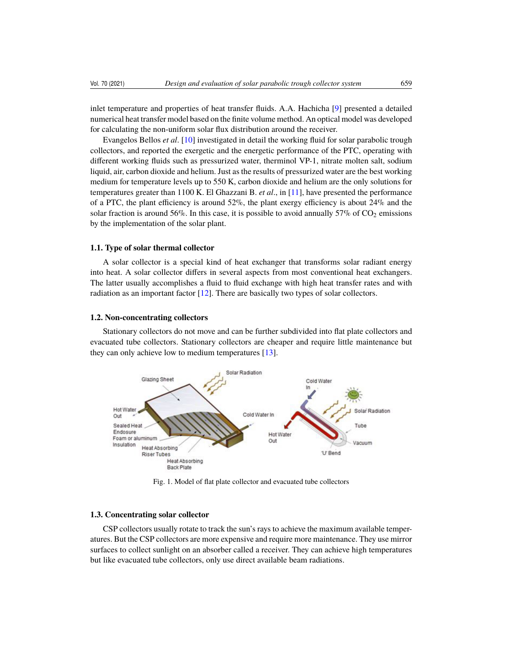inlet temperature and properties of heat transfer fluids. A.A. Hachicha [\[9\]](#page-15-8) presented a detailed numerical heat transfer model based on the finite volume method. An optical model was developed for calculating the non-uniform solar flux distribution around the receiver.

Evangelos Bellos *et al*. [\[10\]](#page-15-9) investigated in detail the working fluid for solar parabolic trough collectors, and reported the exergetic and the energetic performance of the PTC, operating with different working fluids such as pressurized water, therminol VP-1, nitrate molten salt, sodium liquid, air, carbon dioxide and helium. Just as the results of pressurized water are the best working medium for temperature levels up to 550 K, carbon dioxide and helium are the only solutions for temperatures greater than 1100 K. El Ghazzani B. *et al*., in [\[11\]](#page-15-10), have presented the performance of a PTC, the plant efficiency is around 52%, the plant exergy efficiency is about 24% and the solar fraction is around 56%. In this case, it is possible to avoid annually 57% of  $CO<sub>2</sub>$  emissions by the implementation of the solar plant.

#### **1.1. Type of solar thermal collector**

A solar collector is a special kind of heat exchanger that transforms solar radiant energy into heat. A solar collector differs in several aspects from most conventional heat exchangers. The latter usually accomplishes a fluid to fluid exchange with high heat transfer rates and with radiation as an important factor [\[12\]](#page-15-11). There are basically two types of solar collectors.

#### **1.2. Non-concentrating collectors**

Stationary collectors do not move and can be further subdivided into flat plate collectors and evacuated tube collectors. Stationary collectors are cheaper and require little maintenance but they can only achieve low to medium temperatures [\[13\]](#page-15-12).



Fig. 1. Model of flat plate collector and evacuated tube collectors

#### **1.3. Concentrating solar collector**

CSP collectors usually rotate to track the sun's rays to achieve the maximum available temperatures. But the CSP collectors are more expensive and require more maintenance. They use mirror surfaces to collect sunlight on an absorber called a receiver. They can achieve high temperatures but like evacuated tube collectors, only use direct available beam radiations.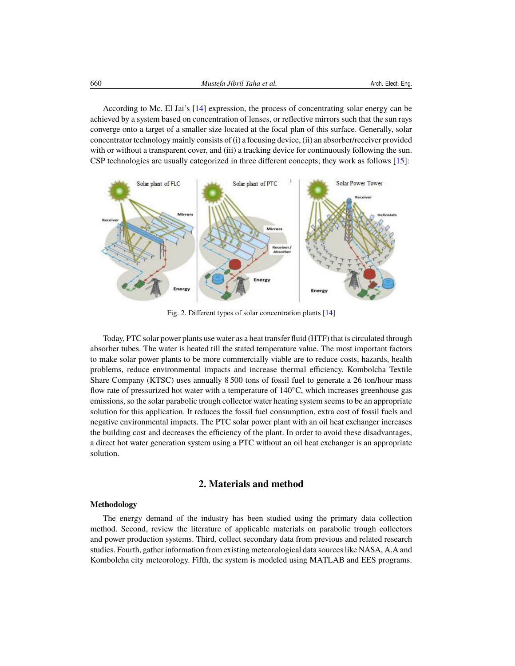According to Mc. El Jai's [\[14\]](#page-15-13) expression, the process of concentrating solar energy can be achieved by a system based on concentration of lenses, or reflective mirrors such that the sun rays converge onto a target of a smaller size located at the focal plan of this surface. Generally, solar concentrator technology mainly consists of (i) a focusing device, (ii) an absorber/receiver provided with or without a transparent cover, and (iii) a tracking device for continuously following the sun. CSP technologies are usually categorized in three different concepts; they work as follows [\[15\]](#page-15-14):



Fig. 2. Different types of solar concentration plants [\[14\]](#page-15-13)

Today, PTC solar power plants use water as a heat transfer fluid (HTF) that is circulated through absorber tubes. The water is heated till the stated temperature value. The most important factors to make solar power plants to be more commercially viable are to reduce costs, hazards, health problems, reduce environmental impacts and increase thermal efficiency. Kombolcha Textile Share Company (KTSC) uses annually 8 500 tons of fossil fuel to generate a 26 ton/hour mass flow rate of pressurized hot water with a temperature of 140◦C, which increases greenhouse gas emissions, so the solar parabolic trough collector water heating system seems to be an appropriate solution for this application. It reduces the fossil fuel consumption, extra cost of fossil fuels and negative environmental impacts. The PTC solar power plant with an oil heat exchanger increases the building cost and decreases the efficiency of the plant. In order to avoid these disadvantages, a direct hot water generation system using a PTC without an oil heat exchanger is an appropriate solution.

## **2. Materials and method**

## **Methodology**

The energy demand of the industry has been studied using the primary data collection method. Second, review the literature of applicable materials on parabolic trough collectors and power production systems. Third, collect secondary data from previous and related research studies. Fourth, gather information from existing meteorological data sources like NASA, A.A and Kombolcha city meteorology. Fifth, the system is modeled using MATLAB and EES programs.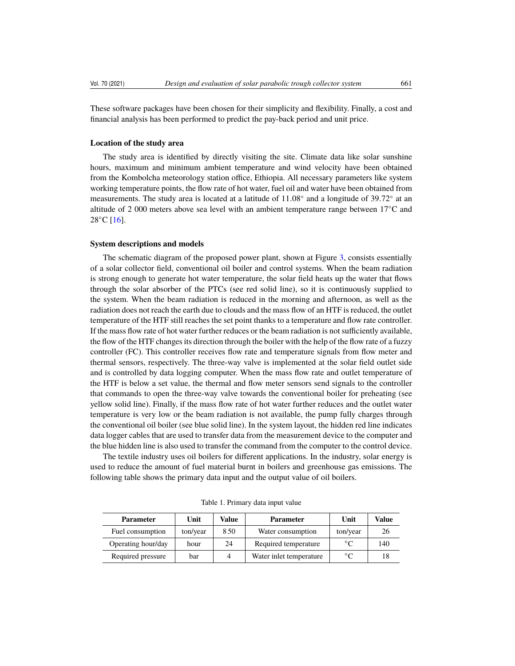These software packages have been chosen for their simplicity and flexibility. Finally, a cost and financial analysis has been performed to predict the pay-back period and unit price.

## **Location of the study area**

The study area is identified by directly visiting the site. Climate data like solar sunshine hours, maximum and minimum ambient temperature and wind velocity have been obtained from the Kombolcha meteorology station office, Ethiopia. All necessary parameters like system working temperature points, the flow rate of hot water, fuel oil and water have been obtained from measurements. The study area is located at a latitude of  $11.08°$  and a longitude of  $39.72°$  at and a lititude of  $2.000$  meters above sea level with an ambient temperature range between  $17°C$  and altitude of 2 000 meters above sea level with an ambient temperature range between 17◦C and  $28^{\circ}$ C [\[16\]](#page-15-15).

#### **System descriptions and models**

The schematic diagram of the proposed power plant, shown at Figure [3,](#page-5-0) consists essentially of a solar collector field, conventional oil boiler and control systems. When the beam radiation is strong enough to generate hot water temperature, the solar field heats up the water that flows through the solar absorber of the PTCs (see red solid line), so it is continuously supplied to the system. When the beam radiation is reduced in the morning and afternoon, as well as the radiation does not reach the earth due to clouds and the mass flow of an HTF is reduced, the outlet temperature of the HTF still reaches the set point thanks to a temperature and flow rate controller. If the mass flow rate of hot water further reduces or the beam radiation is not sufficiently available, the flow of the HTF changes its direction through the boiler with the help of the flow rate of a fuzzy controller (FC). This controller receives flow rate and temperature signals from flow meter and thermal sensors, respectively. The three-way valve is implemented at the solar field outlet side and is controlled by data logging computer. When the mass flow rate and outlet temperature of the HTF is below a set value, the thermal and flow meter sensors send signals to the controller that commands to open the three-way valve towards the conventional boiler for preheating (see yellow solid line). Finally, if the mass flow rate of hot water further reduces and the outlet water temperature is very low or the beam radiation is not available, the pump fully charges through the conventional oil boiler (see blue solid line). In the system layout, the hidden red line indicates data logger cables that are used to transfer data from the measurement device to the computer and the blue hidden line is also used to transfer the command from the computer to the control device.

The textile industry uses oil boilers for different applications. In the industry, solar energy is used to reduce the amount of fuel material burnt in boilers and greenhouse gas emissions. The following table shows the primary data input and the output value of oil boilers.

| <b>Parameter</b>   | Unit     | Value | <b>Parameter</b>        | Unit        | Value |
|--------------------|----------|-------|-------------------------|-------------|-------|
| Fuel consumption   | ton/year | 8.50  | Water consumption       | ton/year    | 26    |
| Operating hour/day | hour     | 24    | Required temperature    | $^{\circ}C$ | 140   |
| Required pressure  | bar      | 4     | Water inlet temperature | $^{\circ}C$ | 18    |

Table 1. Primary data input value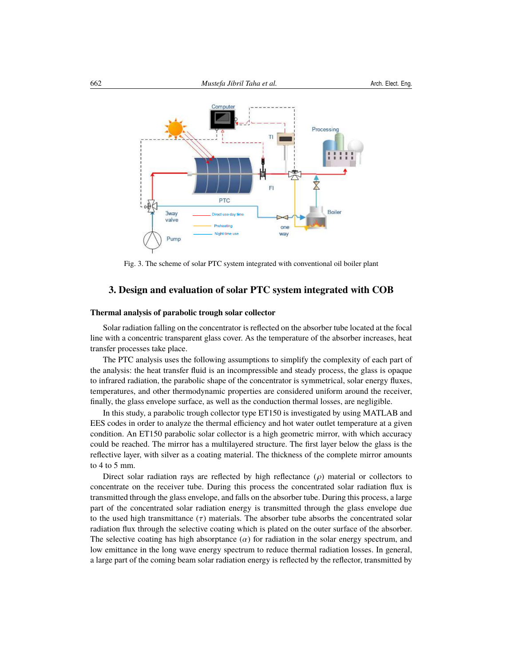<span id="page-5-0"></span>

EI

one

way

Boile

Fig. 3. The scheme of solar PTC system integrated with conventional oil boiler plant

PTC

Night

## **3. Design and evaluation of solar PTC system integrated with COB**

#### **Thermal analysis of parabolic trough solar collector**

3way valve

Pump

Solar radiation falling on the concentrator is reflected on the absorber tube located at the focal line with a concentric transparent glass cover. As the temperature of the absorber increases, heat transfer processes take place.

The PTC analysis uses the following assumptions to simplify the complexity of each part of the analysis: the heat transfer fluid is an incompressible and steady process, the glass is opaque to infrared radiation, the parabolic shape of the concentrator is symmetrical, solar energy fluxes, temperatures, and other thermodynamic properties are considered uniform around the receiver, finally, the glass envelope surface, as well as the conduction thermal losses, are negligible.

In this study, a parabolic trough collector type ET150 is investigated by using MATLAB and EES codes in order to analyze the thermal efficiency and hot water outlet temperature at a given condition. An ET150 parabolic solar collector is a high geometric mirror, with which accuracy could be reached. The mirror has a multilayered structure. The first layer below the glass is the reflective layer, with silver as a coating material. The thickness of the complete mirror amounts to 4 to 5 mm.

Direct solar radiation rays are reflected by high reflectance  $(\rho)$  material or collectors to concentrate on the receiver tube. During this process the concentrated solar radiation flux is transmitted through the glass envelope, and falls on the absorber tube. During this process, a large part of the concentrated solar radiation energy is transmitted through the glass envelope due to the used high transmittance  $(\tau)$  materials. The absorber tube absorbs the concentrated solar radiation flux through the selective coating which is plated on the outer surface of the absorber. The selective coating has high absorptance  $(\alpha)$  for radiation in the solar energy spectrum, and low emittance in the long wave energy spectrum to reduce thermal radiation losses. In general, a large part of the coming beam solar radiation energy is reflected by the reflector, transmitted by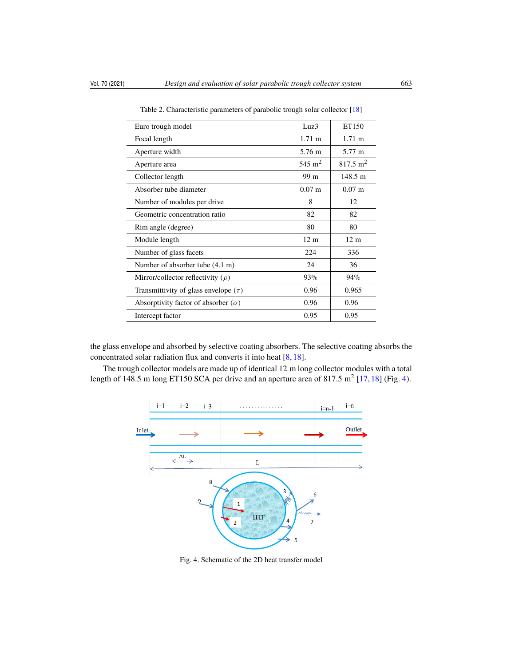| Euro trough model                          | Luz3             | ET150                |
|--------------------------------------------|------------------|----------------------|
| Focal length                               | $1.71 \text{ m}$ | $1.71 \text{ m}$     |
| Aperture width                             | 5.76 m           | 5.77 m               |
| Aperture area                              | 545 $m2$         | $817.5 \text{ m}^2$  |
| Collector length                           | 99 m             | $148.5 \text{ m}$    |
| Absorber tube diameter                     | $0.07 \text{ m}$ | $0.07 \; \mathrm{m}$ |
| Number of modules per drive                | 8                | 12                   |
| Geometric concentration ratio              | 82               | 82                   |
| Rim angle (degree)                         | 80               | 80                   |
| Module length                              | 12 <sub>m</sub>  | 12 <sub>m</sub>      |
| Number of glass facets                     | 224              | 336                  |
| Number of absorber tube (4.1 m)            | 24               | 36                   |
| Mirror/collector reflectivity ( $\rho$ )   | 93%              | 94%                  |
| Transmittivity of glass envelope $(\tau)$  | 0.96             | 0.965                |
| Absorptivity factor of absorber $(\alpha)$ | 0.96             | 0.96                 |
| Intercept factor                           | 0.95             | 0.95                 |

Table 2. Characteristic parameters of parabolic trough solar collector [\[18\]](#page-15-16)

the glass envelope and absorbed by selective coating absorbers. The selective coating absorbs the concentrated solar radiation flux and converts it into heat [\[8,](#page-15-7) [18\]](#page-15-16).

<span id="page-6-0"></span>The trough collector models are made up of identical 12 m long collector modules with a total length of 148.5 m long ET150 SCA per drive and an aperture area of 817.5  $m^2$  [\[17,](#page-15-17) [18\]](#page-15-16) (Fig. [4\)](#page-6-0).



Fig. 4. Schematic of the 2D heat transfer model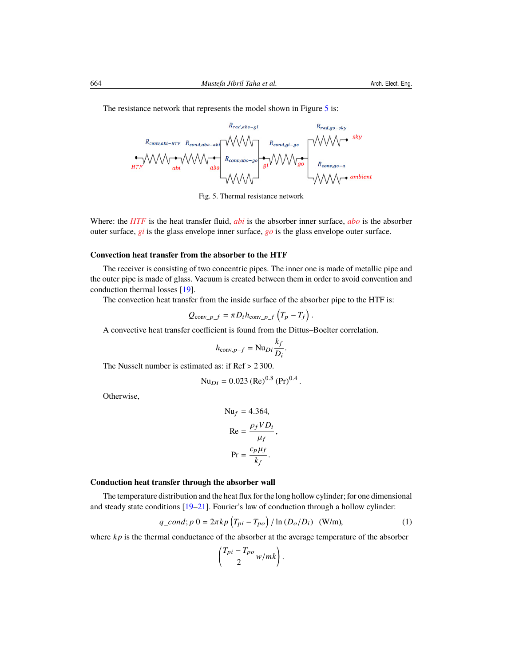$R_{rad, abo-ai}$ 

Fig. 5. Thermal resistance network

Where: the *HTF* is the heat transfer fluid, *abi* is the absorber inner surface, *abo* is the absorber outer surface, *gi* is the glass envelope inner surface, *go* is the glass envelope outer surface.

## **Convection heat transfer from the absorber to the HTF**

The receiver is consisting of two concentric pipes. The inner one is made of metallic pipe and the outer pipe is made of glass. Vacuum is created between them in order to avoid convention and conduction thermal losses [\[19\]](#page-15-18).

The convection heat transfer from the inside surface of the absorber pipe to the HTF is:

$$
Q_{\text{conv}\_P\_f} = \pi D_i h_{\text{conv}\_P\_f} \left( T_p - T_f \right).
$$

A convective heat transfer coefficient is found from the Dittus–Boelter correlation.

$$
h_{\text{conv},p-f} = \text{Nu}_{Di} \frac{k_f}{D_i}.
$$

The Nusselt number is estimated as: if Ref > 2 300.

$$
Nu_{Di} = 0.023 (Re)^{0.8} (Pr)^{0.4}.
$$

Otherwise,

$$
Nu_f = 4.364,
$$
  
\n
$$
Re = \frac{\rho_f V D_i}{\mu_f},
$$
  
\n
$$
Pr = \frac{c_p \mu_f}{k_f}.
$$

#### **Conduction heat transfer through the absorber wall**

The temperature distribution and the heat flux for the long hollow cylinder; for one dimensional and steady state conditions  $[19–21]$  $[19–21]$ . Fourier's law of conduction through a hollow cylinder:

$$
q\_{cond}; p\ 0 = 2\pi k p \left(T_{pi} - T_{po}\right) / \ln\left(D_o/D_i\right) \quad (\text{W/m}),\tag{1}
$$

where *kp* is the thermal conductance of the absorber at the average temperature of the absorber

$$
\left(\frac{T_{pi}-T_{po}}{2}w/mk\right).
$$

<span id="page-7-0"></span>The resistance network that represents the model shown in Figure [5](#page-7-0) is: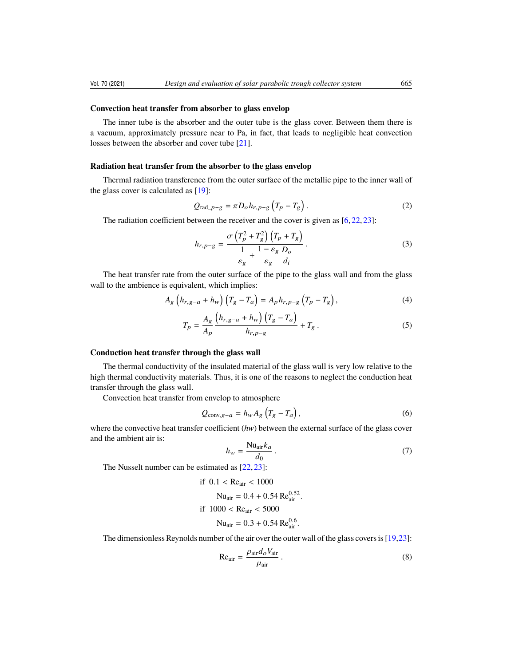#### **Convection heat transfer from absorber to glass envelop**

The inner tube is the absorber and the outer tube is the glass cover. Between them there is a vacuum, approximately pressure near to Pa, in fact, that leads to negligible heat convection losses between the absorber and cover tube [\[21\]](#page-16-0).

#### **Radiation heat transfer from the absorber to the glass envelop**

Thermal radiation transference from the outer surface of the metallic pipe to the inner wall of the glass cover is calculated as [\[19\]](#page-15-18):

$$
Q_{\text{rad}\_P-g} = \pi D_o h_{r,p-g} \left( T_p - T_g \right). \tag{2}
$$

The radiation coefficient between the receiver and the cover is given as  $[6, 22, 23]$  $[6, 22, 23]$  $[6, 22, 23]$  $[6, 22, 23]$  $[6, 22, 23]$ :

$$
h_{r,p-g} = \frac{\sigma \left( T_p^2 + T_g^2 \right) \left( T_p + T_g \right)}{\frac{1}{\varepsilon_g} + \frac{1 - \varepsilon_g}{\varepsilon_g} \frac{D_o}{d_i}}.
$$
\n(3)

The heat transfer rate from the outer surface of the pipe to the glass wall and from the glass wall to the ambience is equivalent, which implies:

$$
A_g \left( h_{r,g-a} + h_w \right) \left( T_g - T_a \right) = A_p h_{r,p-g} \left( T_p - T_g \right), \tag{4}
$$

$$
T_{p} = \frac{A_{g}}{A_{p}} \frac{\left(h_{r,g-a} + h_{w}\right)\left(T_{g} - T_{a}\right)}{h_{r,p-g}} + T_{g} \,.
$$
 (5)

#### **Conduction heat transfer through the glass wall**

The thermal conductivity of the insulated material of the glass wall is very low relative to the high thermal conductivity materials. Thus, it is one of the reasons to neglect the conduction heat transfer through the glass wall.

Convection heat transfer from envelop to atmosphere

$$
Q_{\text{conv},g-a} = h_w A_g \left( T_g - T_a \right),\tag{6}
$$

where the convective heat transfer coefficient (*hw*) between the external surface of the glass cover and the ambient air is:

$$
h_w = \frac{\text{Nu}_{\text{air}} k_a}{d_0} \,. \tag{7}
$$

The Nusselt number can be estimated as [\[22,](#page-16-1) [23\]](#page-16-2):

if 
$$
0.1 < \text{Re}_{air} < 1000
$$
  
\n $Nu_{air} = 0.4 + 0.54 \text{ Re}_{air}^{0.52}$ .  
\nif  $1000 < \text{Re}_{air} < 5000$   
\n $Nu_{air} = 0.3 + 0.54 \text{ Re}_{air}^{0.6}$ .

The dimensionless Reynolds number of the air over the outer wall of the glass covers is [\[19,](#page-15-18)[23\]](#page-16-2):

$$
Re_{air} = \frac{\rho_{air} d_o V_{air}}{\mu_{air}} \,. \tag{8}
$$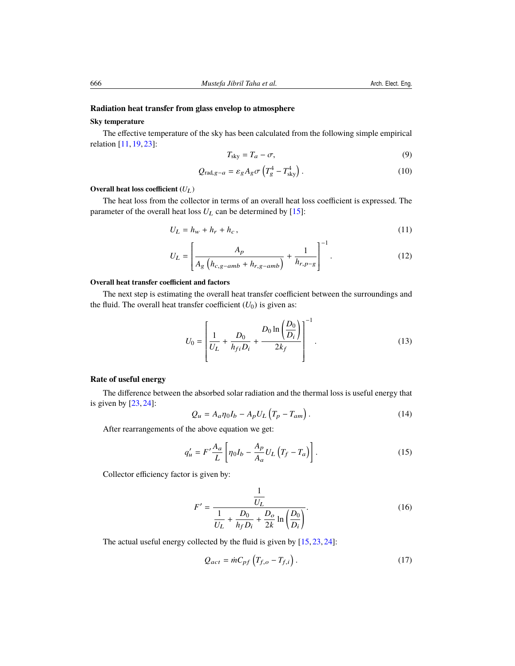## **Radiation heat transfer from glass envelop to atmosphere**

## **Sky temperature**

The effective temperature of the sky has been calculated from the following simple empirical relation [\[11,](#page-15-10) [19,](#page-15-18) [23\]](#page-16-2):

$$
T_{\rm sky} = T_a - \sigma,\tag{9}
$$

$$
Q_{\text{rad},g-a} = \varepsilon_g A_g \sigma \left( T_g^4 - T_{\text{sky}}^4 \right). \tag{10}
$$

## **Overall heat loss coefficient (***U*L)

The heat loss from the collector in terms of an overall heat loss coefficient is expressed. The parameter of the overall heat loss  $U_L$  can be determined by [\[15\]](#page-15-14):

$$
U_L = h_w + h_r + h_c, \qquad (11)
$$

$$
U_L = \left[ \frac{A_p}{A_g \left( h_{c,g-amb} + h_{r,g-amb} \right)} + \frac{1}{h_{r,p-g}} \right]^{-1}.
$$
 (12)

## **Overall heat transfer coefficient and factors**

The next step is estimating the overall heat transfer coefficient between the surroundings and the fluid. The overall heat transfer coefficient  $(U_0)$  is given as:

$$
U_0 = \left[\frac{1}{U_L} + \frac{D_0}{h_{fi} D_i} + \frac{D_0 \ln\left(\frac{D_0}{D_i}\right)}{2k_f}\right]^{-1}.
$$
 (13)

## **Rate of useful energy**

The difference between the absorbed solar radiation and the thermal loss is useful energy that is given by [\[23,](#page-16-2) [24\]](#page-16-3):  $\sqrt{2}$ 

$$
Q_u = A_a \eta_0 I_b - A_p U_L \left( T_p - T_{am} \right). \tag{14}
$$

After rearrangements of the above equation we get:

$$
q'_{u} = F' \frac{A_a}{L} \left[ \eta_0 I_b - \frac{A_p}{A_a} U_L \left( T_f - T_a \right) \right]. \tag{15}
$$

Collector efficiency factor is given by:

<span id="page-9-0"></span>
$$
F' = \frac{\frac{1}{U_L}}{\frac{1}{U_L} + \frac{D_0}{h_f D_i} + \frac{D_0}{2k} \ln\left(\frac{D_0}{D_i}\right)}.
$$
 (16)

The actual useful energy collected by the fluid is given by  $[15, 23, 24]$  $[15, 23, 24]$  $[15, 23, 24]$  $[15, 23, 24]$  $[15, 23, 24]$ :

$$
Q_{act} = \dot{m}C_{pf} \left( T_{f,o} - T_{f,i} \right). \tag{17}
$$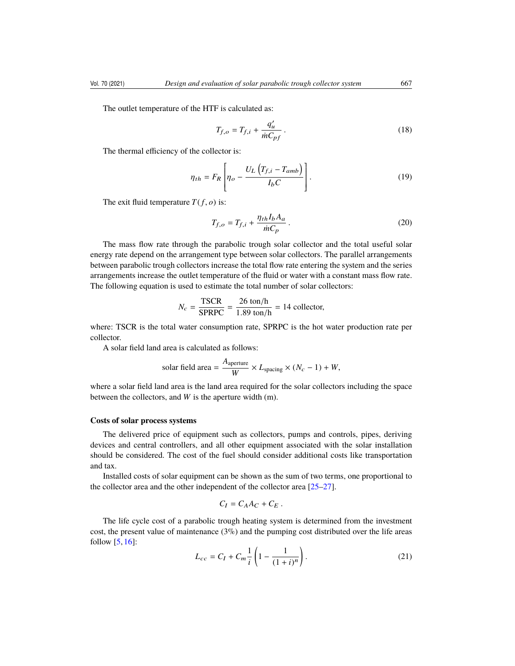The outlet temperature of the HTF is calculated as:

$$
T_{f,o} = T_{f,i} + \frac{q_u'}{mC_{pf}}.
$$
 (18)

The thermal efficiency of the collector is:

$$
\eta_{th} = F_R \left[ \eta_o - \frac{U_L \left( T_{f,i} - T_{amb} \right)}{I_b C} \right]. \tag{19}
$$

The exit fluid temperature  $T(f, o)$  is:

$$
T_{f,o} = T_{f,i} + \frac{\eta_{th} I_b A_a}{\dot{m} C_p} \,. \tag{20}
$$

The mass flow rate through the parabolic trough solar collector and the total useful solar energy rate depend on the arrangement type between solar collectors. The parallel arrangements between parabolic trough collectors increase the total flow rate entering the system and the series arrangements increase the outlet temperature of the fluid or water with a constant mass flow rate. The following equation is used to estimate the total number of solar collectors:

$$
N_c = \frac{\text{TSCR}}{\text{SPRPC}} = \frac{26 \text{ ton/h}}{1.89 \text{ ton/h}} = 14 \text{ collector},
$$

where: TSCR is the total water consumption rate, SPRPC is the hot water production rate per collector.

A solar field land area is calculated as follows:

solar field area = 
$$
\frac{A_{\text{aperture}}}{W} \times L_{\text{spacing}} \times (N_c - 1) + W
$$
,

where a solar field land area is the land area required for the solar collectors including the space between the collectors, and *W* is the aperture width (m).

#### **Costs of solar process systems**

The delivered price of equipment such as collectors, pumps and controls, pipes, deriving devices and central controllers, and all other equipment associated with the solar installation should be considered. The cost of the fuel should consider additional costs like transportation and tax.

Installed costs of solar equipment can be shown as the sum of two terms, one proportional to the collector area and the other independent of the collector area [\[25](#page-16-4)[–27\]](#page-16-5).

$$
C_I = C_A A_C + C_E.
$$

The life cycle cost of a parabolic trough heating system is determined from the investment cost, the present value of maintenance (3%) and the pumping cost distributed over the life areas follow  $[5, 16]$  $[5, 16]$  $[5, 16]$ :

$$
L_{cc} = C_I + C_m \frac{1}{i} \left( 1 - \frac{1}{(1+i)^n} \right). \tag{21}
$$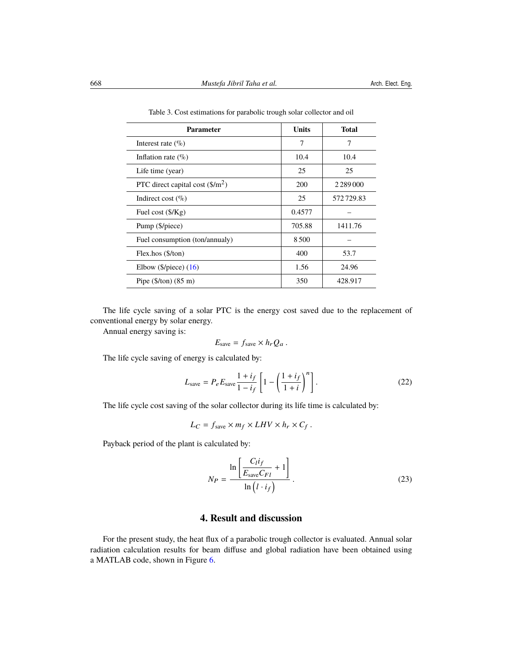| <b>Parameter</b>                          | <b>Units</b> | <b>Total</b> |
|-------------------------------------------|--------------|--------------|
| Interest rate $(\%)$                      | 7            | 7            |
| Inflation rate $(\%)$                     | 10.4         | 10.4         |
| Life time (year)                          | 25           | 25           |
| PTC direct capital cost $(\frac{1}{2})^2$ | 200          |              |
| Indirect cost $(\%)$                      | 25           | 572729.83    |
| Fuel cost $(\frac{5}{Kg})$                | 0.4577       |              |
| Pump (\$/piece)                           | 705.88       | 1411.76      |
| Fuel consumption (ton/annualy)            | 8500         |              |
| Flex.hos (\$/ton)                         | 400          | 53.7         |
| Elbow ( $\phi$ /piece) (16)               | 1.56         | 24.96        |
| Pipe $(\frac{5}{\tan})$ (85 m)            | 350          | 428.917      |

Table 3. Cost estimations for parabolic trough solar collector and oil

The life cycle saving of a solar PTC is the energy cost saved due to the replacement of conventional energy by solar energy.

Annual energy saving is:

$$
E_{\text{save}} = f_{\text{save}} \times h_r Q_a \, .
$$

The life cycle saving of energy is calculated by:

$$
L_{\text{save}} = P_e E_{\text{save}} \frac{1 + i_f}{1 - i_f} \left[ 1 - \left( \frac{1 + i_f}{1 + i} \right)^n \right]. \tag{22}
$$

The life cycle cost saving of the solar collector during its life time is calculated by:

$$
L_C = f_{\text{save}} \times m_f \times LHV \times h_r \times C_f.
$$

Payback period of the plant is calculated by:

$$
N_P = \frac{\ln\left[\frac{C_l i_f}{E_{\text{save}} C_{FI}} + 1\right]}{\ln\left(l \cdot i_f\right)}\tag{23}
$$

## **4. Result and discussion**

For the present study, the heat flux of a parabolic trough collector is evaluated. Annual solar radiation calculation results for beam diffuse and global radiation have been obtained using a MATLAB code, shown in Figure [6.](#page-12-0)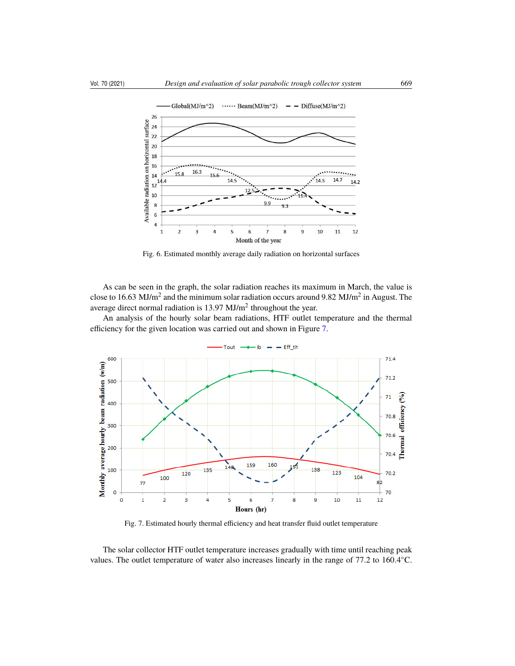<span id="page-12-0"></span>

Fig. 6. Estimated monthly average daily radiation on horizontal surfaces

As can be seen in the graph, the solar radiation reaches its maximum in March, the value is close to 16.63 MJ/m<sup>2</sup> and the minimum solar radiation occurs around 9.82 MJ/m<sup>2</sup> in August. The average direct normal radiation is  $13.97 \text{ MJ/m}^2$  throughout the year.

An analysis of the hourly solar beam radiations, HTF outlet temperature and the thermal efficiency for the given location was carried out and shown in Figure [7.](#page-12-1)

<span id="page-12-1"></span>

Fig. 7. Estimated hourly thermal efficiency and heat transfer fluid outlet temperature

The solar collector HTF outlet temperature increases gradually with time until reaching peak values. The outlet temperature of water also increases linearly in the range of 77.2 to 160.4°C.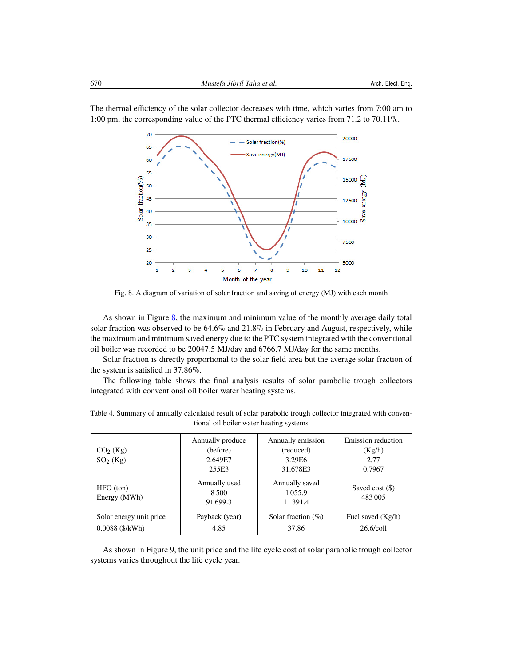70 20000 - Solar fraction(%) 65 Save energy(MJ) 17500 60 55 Solar fraction(%) 15000 50 energy 45 12500 40 Save 10000 35 30 7500  $25$  $20$ 5000  $\mathbf{1}$  $\overline{a}$ 5  $6\phantom{a}$  $\overline{7}$ 8 9 10 11  $12$ Þ 3

<span id="page-13-0"></span>The thermal efficiency of the solar collector decreases with time, which varies from 7:00 am to 1:00 pm, the corresponding value of the PTC thermal efficiency varies from 71.2 to 70.11%.

Fig. 8. A diagram of variation of solar fraction and saving of energy (MJ) with each month

Month of the year

As shown in Figure [8,](#page-13-0) the maximum and minimum value of the monthly average daily total solar fraction was observed to be 64.6% and 21.8% in February and August, respectively, while the maximum and minimum saved energy due to the PTC system integrated with the conventional oil boiler was recorded to be 20047.5 MJ/day and 6766.7 MJ/day for the same months.

Solar fraction is directly proportional to the solar field area but the average solar fraction of the system is satisfied in 37.86%.

The following table shows the final analysis results of solar parabolic trough collectors integrated with conventional oil boiler water heating systems.

| $CO2$ (Kg)<br>SO <sub>2</sub> (Kg)           | Annually produce<br>(before)<br>2.649E7<br>255E3 | Annually emission<br>(reduced)<br>3.29E6<br>31.678E3 | Emission reduction<br>(Kg/h)<br>2.77<br>0.7967 |
|----------------------------------------------|--------------------------------------------------|------------------------------------------------------|------------------------------------------------|
| $HFO$ (ton)<br>Energy (MWh)                  | Annually used<br>8.500<br>91 699.3               | Annually saved<br>1055.9<br>11391.4                  | Saved cost $(\$)$<br>483005                    |
| Solar energy unit price<br>$0.0088$ (\$/kWh) | Payback (year)<br>4.85                           | Solar fraction $(\% )$<br>37.86                      | Fuel saved (Kg/h)<br>26.6/coll                 |

Table 4. Summary of annually calculated result of solar parabolic trough collector integrated with conventional oil boiler water heating systems

As shown in Figure 9, the unit price and the life cycle cost of solar parabolic trough collector systems varies throughout the life cycle year.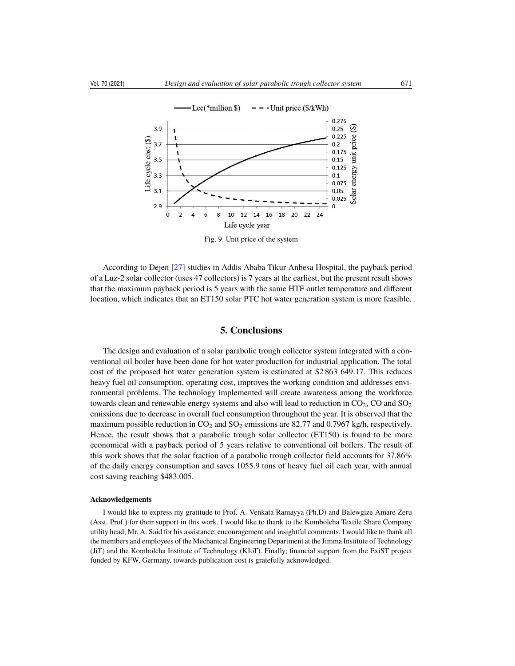

Fig. 9. Unit price of the system

According to Dejen [\[27\]](#page-16-5) studies in Addis Ababa Tikur Anbesa Hospital, the payback period of a Luz-2 solar collector (uses 47 collectors) is 7 years at the earliest, but the present result shows that the maximum payback period is 5 years with the same HTF outlet temperature and different location, which indicates that an ET150 solar PTC hot water generation system is more feasible.

## **5. Conclusions**

The design and evaluation of a solar parabolic trough collector system integrated with a conventional oil boiler have been done for hot water production for industrial application. The total cost of the proposed hot water generation system is estimated at \$2 863 649.17. This reduces heavy fuel oil consumption, operating cost, improves the working condition and addresses environmental problems. The technology implemented will create awareness among the workforce towards clean and renewable energy systems and also will lead to reduction in  $CO<sub>2</sub>$ , CO and  $SO<sub>2</sub>$ emissions due to decrease in overall fuel consumption throughout the year. It is observed that the maximum possible reduction in  $CO_2$  and  $SO_2$  emissions are 82.77 and 0.7967 kg/h, respectively. Hence, the result shows that a parabolic trough solar collector (ET150) is found to be more economical with a payback period of 5 years relative to conventional oil boilers. The result of this work shows that the solar fraction of a parabolic trough collector field accounts for 37.86% of the daily energy consumption and saves 1055.9 tons of heavy fuel oil each year, with annual cost saving reaching \$483.005.

#### **Acknowledgements**

I would like to express my gratitude to Prof. A. Venkata Ramayya (Ph.D) and Balewgize Amare Zeru (Asst. Prof.) for their support in this work. I would like to thank to the Kombolcha Textile Share Company utility head; Mr. A. Said for his assistance, encouragement and insightful comments. I would like to thank all the members and employees of the Mechanical Engineering Department at the Jimma Institute of Technology (JiT) and the Kombolcha Institute of Technology (KIoT). Finally; financial support from the ExiST project funded by KFW, Germany, towards publication cost is gratefully acknowledged.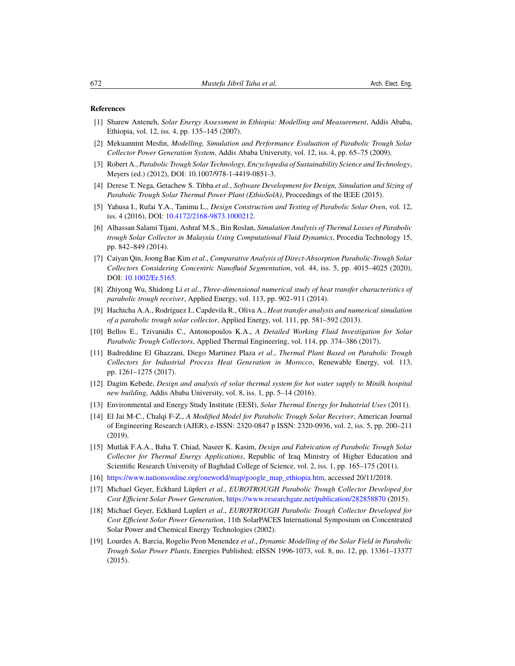#### <span id="page-15-0"></span>**References**

- <span id="page-15-1"></span>[1] Sharew Anteneh, *Solar Energy Assessment in Ethiopia: Modelling and Measurement*, Addis Ababa, Ethiopia, vol. 12, iss. 4, pp. 135–145 (2007).
- <span id="page-15-2"></span>[2] Mekuannint Mesfin, *Modelling, Simulation and Performance Evaluation of Parabolic Trough Solar Collector Power Generation System*, Addis Ababa University, vol. 12, iss. 4, pp. 65–75 (2009).
- [3] Robert A., *Parabolic Trough Solar Technology, Encyclopedia of Sustainability Science and Technology*, Meyers (ed.) (2012), DOI: 10.1007/978-1-4419-0851-3.
- <span id="page-15-3"></span>[4] Derese T. Nega, Getachew S. Tibba *et al*., *Software Development for Design, Simulation and Sizing of Parabolic Trough Solar Thermal Power Plant (EthioSolA)*, Proceedings of the IEEE (2015).
- <span id="page-15-4"></span>[5] Yahusa I., Rufai Y.A., Tanimu L., *Design Construction and Testing of Parabolic Solar Oven*, vol. 12, iss. 4 (2016), DOI: [10.4172/2168-9873.1000212.](https://doi.org/10.4172/2168-9873.1000212)
- <span id="page-15-5"></span>[6] Alhassan Salami Tijani, Ashraf M.S., Bin Roslan, *Simulation Analysis of Thermal Losses of Parabolic trough Solar Collector in Malaysia Using Computational Fluid Dynamics*, Procedia Technology 15, pp. 842–849 (2014).
- <span id="page-15-6"></span>[7] Caiyan Qin, Joong Bae Kim *et al*., *Comparative Analysis of Direct-Absorption Parabolic-Trough Solar Collectors Considering Concentric Nanofluid Segmentation*, vol. 44, iss. 5, pp. 4015–4025 (2020), DOI: [10.1002/Er.5165.](https://doi.org/10.1002/Er.5165)
- <span id="page-15-7"></span>[8] Zhiyong Wu, Shidong Li *et al*., *Three-dimensional numerical study of heat transfer characteristics of parabolic trough receiver*, Applied Energy, vol. 113, pp. 902–911 (2014).
- <span id="page-15-8"></span>[9] Hachicha A.A., Rodríguez I., Capdevila R., Oliva A., *Heat transfer analysis and numerical simulation of a parabolic trough solar collector*, Applied Energy, vol. 111, pp. 581–592 (2013).
- <span id="page-15-9"></span>[10] Bellos E., Tzivanidis C., Antonopoulos K.A., *A Detailed Working Fluid Investigation for Solar Parabolic Trough Collectors*, Applied Thermal Engineering, vol. 114, pp. 374–386 (2017).
- <span id="page-15-10"></span>[11] Badreddine El Ghazzani, Diego Martinez Plaza *et al*., *Thermal Plant Based on Parabolic Trough Collectors for Industrial Process Heat Generation in Morocco*, Renewable Energy, vol. 113, pp. 1261–1275 (2017).
- <span id="page-15-11"></span>[12] Dagim Kebede, *Design and analysis of solar thermal system for hot water supply to Minilk hospital new building*, Addis Ababa University, vol. 8, iss. 1, pp. 5–14 (2016).
- <span id="page-15-12"></span>[13] Environmental and Energy Study Institute (EESI), *Solar Thermal Energy for Industrial Uses* (2011).
- <span id="page-15-13"></span>[14] El Jai M-C., Chalqi F-Z., *A Modified Model for Parabolic Trough Solar Receiver*, American Journal of Engineering Research (AJER), e-ISSN: 2320-0847 p ISSN: 2320-0936, vol. 2, iss. 5, pp. 200–211 (2019).
- <span id="page-15-14"></span>[15] Mutlak F.A.A., Baha T. Chiad, Naseer K. Kasim, *Design and Fabrication of Parabolic Trough Solar Collector for Thermal Energy Applications*, Republic of Iraq Ministry of Higher Education and Scientific Research University of Baghdad College of Science, vol. 2, iss. 1, pp. 165–175 (2011).
- <span id="page-15-15"></span>[16] [https://www.nationsonline.org/oneworld/map/google\\_map\\_ethiopia.htm,](https://www.nationsonline.org/oneworld/map/google_map_ethiopia.htm) accessed 20/11/2018.
- <span id="page-15-17"></span>[17] Michael Geyer, Eckhard Lüpfert *et al*., *EUROTROUGH Parabolic Trough Collector Developed for Cost Efficient Solar Power Generation*, <https://www.researchgate.net/publication/282858870> (2015).
- <span id="page-15-16"></span>[18] Michael Geyer, Eckhard Lupfert *et al*., *EUROTROUGH Parabolic Trough Collector Developed for Cost Efficient Solar Power Generation*, 11th SolarPACES International Symposium on Concentrated Solar Power and Chemical Energy Technologies (2002).
- <span id="page-15-18"></span>[19] Lourdes A. Barcia, Rogelio Peon Menendez *et al*., *Dynamic Modelling of the Solar Field in Parabolic Trough Solar Power Plants*, Energies Published; eISSN 1996-1073, vol. 8, no. 12, pp. 13361–13377 (2015).